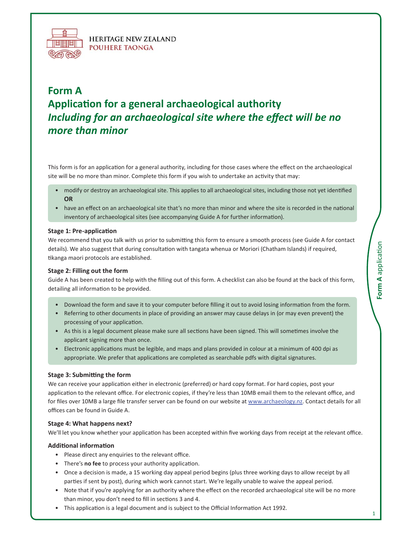

**HERITAGE NEW ZEALAND POUHERE TAONGA** 

# **Form A Application for a general archaeological authority** *Including for an archaeological site where the effect will be no more than minor*

This form is for an application for a general authority, including for those cases where the effect on the archaeological site will be no more than minor. Complete this form if you wish to undertake an activity that may:

- modify or destroy an archaeological site. This applies to all archaeological sites, including those not yet identified  **OR**
- have an effect on an archaeological site that's no more than minor and where the site is recorded in the national inventory of archaeological sites (see accompanying Guide A for further information).

# $Stage 1: Pre-application$

We recommend that you talk with us prior to submitting this form to ensure a smooth process (see Guide A for contact details). We also suggest that during consultation with tangata whenua or Moriori (Chatham Islands) if required, tikanga maori protocols are established.

#### **Stage 2: Filling out the form**

Guide A has been created to help with the filling out of this form. A checklist can also be found at the back of this form, detailing all information to be provided.

- Download the form and save it to your computer before filling it out to avoid losing information from the form.
- Referring to other documents in place of providing an answer may cause delays in (or may even prevent) the processing of your application.
- As this is a legal document please make sure all sections have been signed. This will sometimes involve the applicant signing more than once.
- Electronic applications must be legible, and maps and plans provided in colour at a minimum of 400 dpi as appropriate. We prefer that applications are completed as searchable pdfs with digital signatures.

#### **Stage 3: Submitting the form**

We can receive your application either in electronic (preferred) or hard copy format. For hard copies, post your application to the relevant office. For electronic copies, if they're less than 10MB email them to the relevant office, and for files over 10MB a large file transfer server can be found on our website at www.archaeology.nz. Contact details for all offices can be found in Guide A.

#### **Stage 4: What happens next?**

We'll let you know whether your application has been accepted within five working days from receipt at the relevant office.

#### **Ad**ditional information

- Please direct any enquiries to the relevant office.
- There's **no fee** to process your authority application.
- Once a decision is made, a 15 working day appeal period begins (plus three working days to allow receipt by all parties if sent by post), during which work cannot start. We're legally unable to waive the appeal period.
- Note that if you're applying for an authority where the effect on the recorded archaeological site will be no more than minor, you don't need to fill in sections 3 and 4.
- This application is a legal document and is subject to the Official Information Act 1992.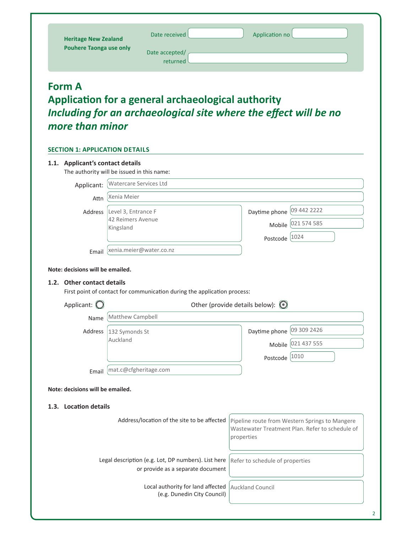| <b>Heritage New Zealand</b><br><b>Pouhere Taonga use only</b>             |                                                       | Date received<br>Date accepted/<br>returned                                                                            | Application no                         |                                                                                                   |
|---------------------------------------------------------------------------|-------------------------------------------------------|------------------------------------------------------------------------------------------------------------------------|----------------------------------------|---------------------------------------------------------------------------------------------------|
| <b>Form A</b><br>more than minor<br><b>SECTION 1: APPLICATION DETAILS</b> |                                                       | Application for a general archaeological authority<br>Including for an archaeological site where the effect will be no |                                        |                                                                                                   |
| 1.1. Applicant's contact details                                          |                                                       |                                                                                                                        |                                        |                                                                                                   |
| The authority will be issued in this name:                                | Watercare Services Ltd                                |                                                                                                                        |                                        |                                                                                                   |
| Applicant:                                                                | Xenia Meier                                           |                                                                                                                        |                                        |                                                                                                   |
| Attn<br>Address                                                           | Level 3, Entrance F<br>42 Reimers Avenue<br>Kingsland |                                                                                                                        | Daytime phone<br>Mobile<br>Postcode    | 09 442 2222<br>021 574 585<br>1024                                                                |
| Email<br>Note: decisions will be emailed.                                 |                                                       | xenia.meier@water.co.nz                                                                                                |                                        |                                                                                                   |
| 1.2. Other contact details                                                |                                                       | First point of contact for communication during the application process:                                               |                                        |                                                                                                   |
| Applicant: $\bigcirc$                                                     |                                                       |                                                                                                                        | Other (provide details below): $\odot$ |                                                                                                   |
| Name                                                                      | Matthew Campbell                                      |                                                                                                                        |                                        |                                                                                                   |
| Address                                                                   | 132 Symonds St<br>Auckland                            |                                                                                                                        | Daytime phone                          | 09 309 2426                                                                                       |
|                                                                           |                                                       |                                                                                                                        | Mobile                                 | 021 437 555                                                                                       |
| Email                                                                     | mat.c@cfgheritage.com                                 |                                                                                                                        | Postcode 1010                          |                                                                                                   |
| Note: decisions will be emailed.                                          |                                                       |                                                                                                                        |                                        |                                                                                                   |
| 1.3. Location details                                                     |                                                       |                                                                                                                        |                                        |                                                                                                   |
|                                                                           |                                                       | Address/location of the site to be affected                                                                            | properties                             | Pipeline route from Western Springs to Mangere<br>Wastewater Treatment Plan. Refer to schedule of |
|                                                                           |                                                       | Legal description (e.g. Lot, DP numbers). List here                                                                    | Refer to schedule of properties        |                                                                                                   |
|                                                                           |                                                       | or provide as a separate document                                                                                      |                                        |                                                                                                   |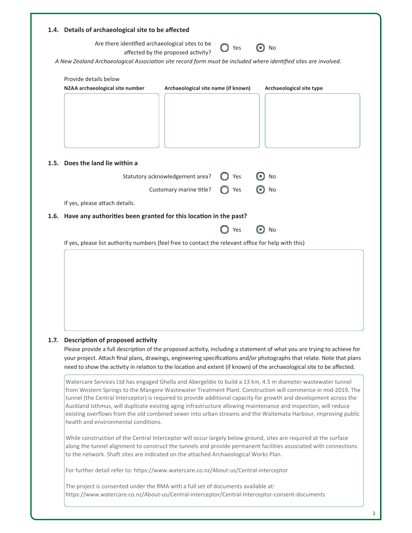| 1.4. Details of archaeological site to be affected<br>Are there identified archaeological sites to be           | affected by the proposed activity?  | $\bigcirc$ Yes | No<br>$\odot$            |
|-----------------------------------------------------------------------------------------------------------------|-------------------------------------|----------------|--------------------------|
| A New Zealand Archaeological Association site record form must be included where identified sites are involved. |                                     |                |                          |
| Provide details below                                                                                           |                                     |                |                          |
| NZAA archaeological site number                                                                                 | Archaeological site name (if known) |                | Archaeological site type |
|                                                                                                                 |                                     |                |                          |
|                                                                                                                 |                                     |                |                          |
|                                                                                                                 |                                     |                |                          |
|                                                                                                                 |                                     |                |                          |
|                                                                                                                 |                                     |                |                          |
| 1.5. Does the land lie within a                                                                                 |                                     |                |                          |
|                                                                                                                 | Statutory acknowledgement area?     | Yes            | No                       |
|                                                                                                                 | Customary marine title?             | Yes            | $\bm{\odot}$<br>No       |
| If yes, please attach details.                                                                                  |                                     |                |                          |
| 1.6. Have any authorities been granted for this location in the past?                                           |                                     |                |                          |
|                                                                                                                 |                                     | Yes            | $\odot$<br>No            |
| If yes, please list authority numbers (feel free to contact the relevant office for help with this)             |                                     |                |                          |
|                                                                                                                 |                                     |                |                          |
|                                                                                                                 |                                     |                |                          |
|                                                                                                                 |                                     |                |                          |
|                                                                                                                 |                                     |                |                          |
|                                                                                                                 |                                     |                |                          |
|                                                                                                                 |                                     |                |                          |

# **1.7.** Description of proposed activity

Please provide a full description of the proposed activity, including a statement of what you are trying to achieve for your project. Attach final plans, drawings, engineering specifications and/or photographs that relate. Note that plans need to show the activity in relation to the location and extent (if known) of the archaeological site to be affected.

Watercare Services Ltd has engaged Ghella and Abergeldie to build a 13 km, 4.5 m diameter wastewater tunnel from Western Springs to the Mangere Wastewater Treatment Plant. Construction will commence in mid-2019. The tunnel (the Central Interceptor) is required to provide additional capacity for growth and development across the Auckland Isthmus, will duplicate existing aging infrastructure allowing maintenance and inspection, will reduce existing overflows from the old combined sewer into urban streams and the Waitemata Harbour, improving public health and environmental conditions.

While construction of the Central Interceptor will occur largely below ground, sites are required at the surface along the tunnel alignment to construct the tunnels and provide permanent facilities associated with connections to the network. Shaft sites are indicated on the attached Archaeological Works Plan.

For further detail refer to: https://www.watercare.co.nz/About-us/Central-interceptor

The project is consented under the RMA with a full set of documents available at: https://www.watercare.co.nz/About-us/Central-interceptor/Central-Interceptor-consent-documents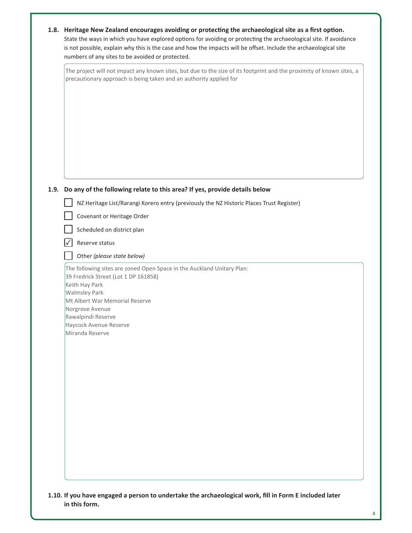|      | 1.8. Heritage New Zealand encourages avoiding or protecting the archaeological site as a first option.<br>State the ways in which you have explored options for avoiding or protecting the archaeological site. If avoidance<br>is not possible, explain why this is the case and how the impacts will be offset. Include the archaeological site<br>numbers of any sites to be avoided or protected. |
|------|-------------------------------------------------------------------------------------------------------------------------------------------------------------------------------------------------------------------------------------------------------------------------------------------------------------------------------------------------------------------------------------------------------|
|      | The project will not impact any known sites, but due to the size of its footprint and the proximity of known sites, a<br>precautionary approach is being taken and an authority applied for                                                                                                                                                                                                           |
|      |                                                                                                                                                                                                                                                                                                                                                                                                       |
| 1.9. | Do any of the following relate to this area? If yes, provide details below                                                                                                                                                                                                                                                                                                                            |
|      | NZ Heritage List/Rarangi Korero entry (previously the NZ Historic Places Trust Register)                                                                                                                                                                                                                                                                                                              |
|      | Covenant or Heritage Order                                                                                                                                                                                                                                                                                                                                                                            |
|      | Scheduled on district plan                                                                                                                                                                                                                                                                                                                                                                            |
|      | Reserve status                                                                                                                                                                                                                                                                                                                                                                                        |
|      | Other (please state below)                                                                                                                                                                                                                                                                                                                                                                            |
|      | The following sites are zoned Open Space in the Auckland Unitary Plan:<br>39 Fredrick Street (Lot 1 DP 161858)<br>Keith Hay Park<br><b>Walmsley Park</b><br>Mt Albert War Memorial Reserve<br>Norgrove Avenue<br>Rawalpindi Reserve<br>Haycock Avenue Reserve<br>Miranda Reserve                                                                                                                      |
|      |                                                                                                                                                                                                                                                                                                                                                                                                       |
|      |                                                                                                                                                                                                                                                                                                                                                                                                       |
|      |                                                                                                                                                                                                                                                                                                                                                                                                       |
|      |                                                                                                                                                                                                                                                                                                                                                                                                       |
|      |                                                                                                                                                                                                                                                                                                                                                                                                       |
|      |                                                                                                                                                                                                                                                                                                                                                                                                       |
|      |                                                                                                                                                                                                                                                                                                                                                                                                       |
|      |                                                                                                                                                                                                                                                                                                                                                                                                       |

1.10. If you have engaged a person to undertake the archaeological work, fill in Form E included later in this form.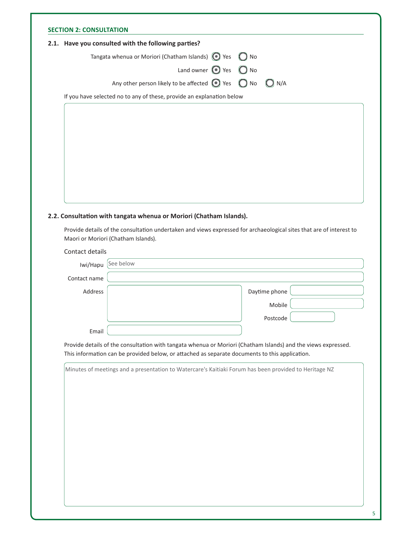| 2.1. Have you consulted with the following parties?                                |  |  |
|------------------------------------------------------------------------------------|--|--|
| Tangata whenua or Moriori (Chatham Islands) $\bigcirc$ Yes $\bigcirc$ No           |  |  |
| Land owner $\bigcirc$ Yes $\bigcirc$ No                                            |  |  |
| Any other person likely to be affected $\bigcirc$ Yes $\bigcirc$ No $\bigcirc$ N/A |  |  |
|                                                                                    |  |  |

# 2.2. Consultation with tangata whenua or Moriori (Chatham Islands).

Provide details of the consultation undertaken and views expressed for archaeological sites that are of interest to Maori or Moriori (Chatham Islands).

Contact details

| Iwi/Hapu     | See below     |  |
|--------------|---------------|--|
| Contact name |               |  |
| Address      | Daytime phone |  |
|              | Mobile        |  |
|              | Postcode      |  |
| Email        |               |  |

Provide details of the consultation with tangata whenua or Moriori (Chatham Islands) and the views expressed. This information can be provided below, or attached as separate documents to this application.

| Minutes of meetings and a presentation to Watercare's Kaitiaki Forum has been provided to Heritage NZ |
|-------------------------------------------------------------------------------------------------------|
|                                                                                                       |
|                                                                                                       |
|                                                                                                       |
|                                                                                                       |
|                                                                                                       |
|                                                                                                       |
|                                                                                                       |
|                                                                                                       |
|                                                                                                       |
|                                                                                                       |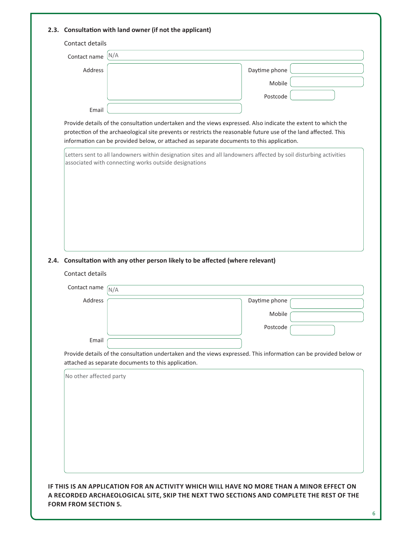| Contact details                                                                                   |                                                                                                                                                                                                                                                                                                                                |
|---------------------------------------------------------------------------------------------------|--------------------------------------------------------------------------------------------------------------------------------------------------------------------------------------------------------------------------------------------------------------------------------------------------------------------------------|
| N/A<br>Contact name                                                                               |                                                                                                                                                                                                                                                                                                                                |
| Address                                                                                           | Daytime phone                                                                                                                                                                                                                                                                                                                  |
|                                                                                                   | Mobile                                                                                                                                                                                                                                                                                                                         |
|                                                                                                   | Postcode                                                                                                                                                                                                                                                                                                                       |
| Email                                                                                             |                                                                                                                                                                                                                                                                                                                                |
|                                                                                                   | Provide details of the consultation undertaken and the views expressed. Also indicate the extent to which the<br>protection of the archaeological site prevents or restricts the reasonable future use of the land affected. This<br>information can be provided below, or attached as separate documents to this application. |
|                                                                                                   | Letters sent to all landowners within designation sites and all landowners affected by soil disturbing activities                                                                                                                                                                                                              |
| associated with connecting works outside designations                                             |                                                                                                                                                                                                                                                                                                                                |
|                                                                                                   |                                                                                                                                                                                                                                                                                                                                |
|                                                                                                   |                                                                                                                                                                                                                                                                                                                                |
|                                                                                                   |                                                                                                                                                                                                                                                                                                                                |
|                                                                                                   |                                                                                                                                                                                                                                                                                                                                |
|                                                                                                   |                                                                                                                                                                                                                                                                                                                                |
|                                                                                                   |                                                                                                                                                                                                                                                                                                                                |
|                                                                                                   |                                                                                                                                                                                                                                                                                                                                |
|                                                                                                   |                                                                                                                                                                                                                                                                                                                                |
|                                                                                                   |                                                                                                                                                                                                                                                                                                                                |
|                                                                                                   |                                                                                                                                                                                                                                                                                                                                |
|                                                                                                   |                                                                                                                                                                                                                                                                                                                                |
| Contact name<br>N/A                                                                               |                                                                                                                                                                                                                                                                                                                                |
| Address                                                                                           | Daytime phone                                                                                                                                                                                                                                                                                                                  |
|                                                                                                   | Mobile                                                                                                                                                                                                                                                                                                                         |
| 2.4. Consultation with any other person likely to be affected (where relevant)<br>Contact details | Postcode                                                                                                                                                                                                                                                                                                                       |
| Email                                                                                             |                                                                                                                                                                                                                                                                                                                                |
|                                                                                                   |                                                                                                                                                                                                                                                                                                                                |
|                                                                                                   | Provide details of the consultation undertaken and the views expressed. This information can be provided below or                                                                                                                                                                                                              |
| attached as separate documents to this application.<br>No other affected party                    |                                                                                                                                                                                                                                                                                                                                |
|                                                                                                   |                                                                                                                                                                                                                                                                                                                                |
|                                                                                                   |                                                                                                                                                                                                                                                                                                                                |
|                                                                                                   |                                                                                                                                                                                                                                                                                                                                |
|                                                                                                   |                                                                                                                                                                                                                                                                                                                                |
|                                                                                                   |                                                                                                                                                                                                                                                                                                                                |
|                                                                                                   |                                                                                                                                                                                                                                                                                                                                |
|                                                                                                   |                                                                                                                                                                                                                                                                                                                                |
|                                                                                                   |                                                                                                                                                                                                                                                                                                                                |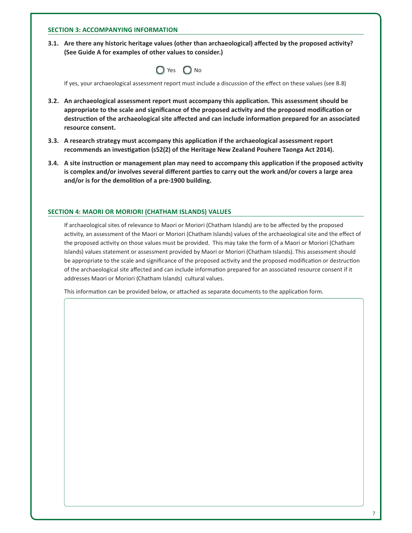# **SECTION 3: ACCOMPANYING INFORMATION**

3.1. Are there any historic heritage values (other than archaeological) affected by the proposed activity? (See Guide A for examples of other values to consider.)

| O<br>Yes | ( ) No |  |
|----------|--------|--|
|----------|--------|--|

If yes, your archaeological assessment report must include a discussion of the effect on these values (see B.8)

- 3.2. An archaeological assessment report must accompany this application. This assessment should be appropriate to the scale and significance of the proposed activity and the proposed modification or destruction of the archaeological site affected and can include information prepared for an associated resource consent.
- 3.3. A research strategy must accompany this application if the archaeological assessment report recommends an investigation (s52(2) of the Heritage New Zealand Pouhere Taonga Act 2014).
- 3.4. A site instruction or management plan may need to accompany this application if the proposed activity is complex and/or involves several different parties to carry out the work and/or covers a large area and/or is for the demolition of a pre-1900 building.

# **SECTION 4: MAORI OR MORIORI (CHATHAM ISLANDS) VALUES**

If archaeological sites of relevance to Maori or Moriori (Chatham Islands) are to be affected by the proposed activity, an assessment of the Maori or Moriori (Chatham Islands) values of the archaeological site and the effect of the proposed activity on those values must be provided. This may take the form of a Maori or Moriori (Chatham Islands) values statement or assessment provided by Maori or Moriori (Chatham Islands). This assessment should be appropriate to the scale and significance of the proposed activity and the proposed modification or destruction of the archaeological site affected and can include information prepared for an associated resource consent if it addresses Maori or Moriori (Chatham Islands) cultural values.

This information can be provided below, or attached as separate documents to the application form.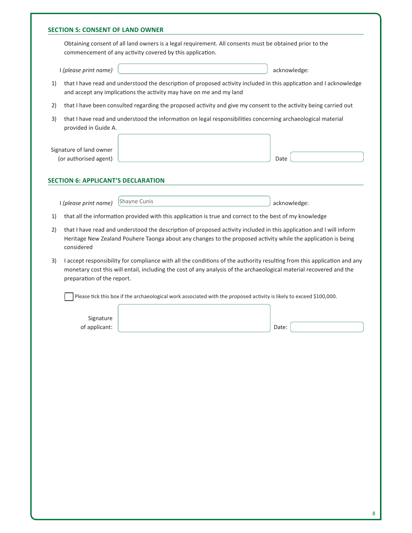|    |                                                  | Obtaining consent of all land owners is a legal requirement. All consents must be obtained prior to the<br>commencement of any activity covered by this application.                                                                           |                                                                                                               |
|----|--------------------------------------------------|------------------------------------------------------------------------------------------------------------------------------------------------------------------------------------------------------------------------------------------------|---------------------------------------------------------------------------------------------------------------|
|    | I (please print name)                            |                                                                                                                                                                                                                                                | acknowledge:                                                                                                  |
| 1) |                                                  | that I have read and understood the description of proposed activity included in this application and I acknowledge<br>and accept any implications the activity may have on me and my land                                                     |                                                                                                               |
| 2) |                                                  | that I have been consulted regarding the proposed activity and give my consent to the activity being carried out                                                                                                                               |                                                                                                               |
| 3) | provided in Guide A.                             | that I have read and understood the information on legal responsibilities concerning archaeological material                                                                                                                                   |                                                                                                               |
|    | Signature of land owner<br>(or authorised agent) |                                                                                                                                                                                                                                                | Date                                                                                                          |
|    | <b>SECTION 6: APPLICANT'S DECLARATION</b>        |                                                                                                                                                                                                                                                |                                                                                                               |
|    |                                                  | Shayne Cunis                                                                                                                                                                                                                                   |                                                                                                               |
|    | I (please print name)                            | that all the information provided with this application is true and correct to the best of my knowledge                                                                                                                                        | acknowledge:                                                                                                  |
|    |                                                  |                                                                                                                                                                                                                                                | Heritage New Zealand Pouhere Taonga about any changes to the proposed activity while the application is being |
|    | considered<br>preparation of the report.         | I accept responsibility for compliance with all the conditions of the authority resulting from this application and any<br>monetary cost this will entail, including the cost of any analysis of the archaeological material recovered and the |                                                                                                               |
|    |                                                  | Please tick this box if the archaeological work associated with the proposed activity is likely to exceed \$100,000.                                                                                                                           |                                                                                                               |
|    |                                                  |                                                                                                                                                                                                                                                |                                                                                                               |
| 3) | Signature<br>of applicant:                       |                                                                                                                                                                                                                                                | Date:                                                                                                         |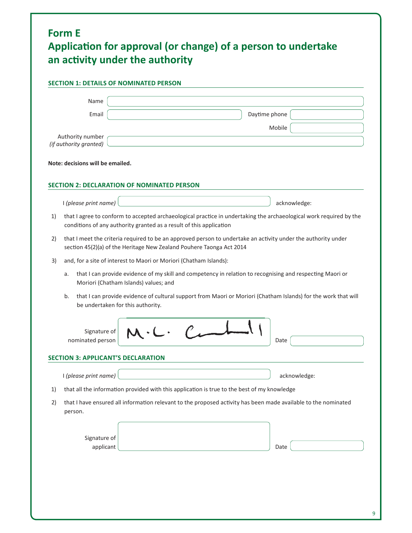|    | <b>SECTION 1: DETAILS OF NOMINATED PERSON</b>                                                                                                                                             |               |  |
|----|-------------------------------------------------------------------------------------------------------------------------------------------------------------------------------------------|---------------|--|
|    | Name                                                                                                                                                                                      |               |  |
|    | Email                                                                                                                                                                                     | Daytime phone |  |
|    |                                                                                                                                                                                           | Mobile        |  |
|    | Authority number<br>(if authority granted)                                                                                                                                                |               |  |
|    | Note: decisions will be emailed.                                                                                                                                                          |               |  |
|    |                                                                                                                                                                                           |               |  |
|    | SECTION 2: DECLARATION OF NOMINATED PERSON                                                                                                                                                |               |  |
|    | I (please print name)                                                                                                                                                                     | acknowledge:  |  |
| 1) | that I agree to conform to accepted archaeological practice in undertaking the archaeological work required by the<br>conditions of any authority granted as a result of this application |               |  |
| 2) | that I meet the criteria required to be an approved person to undertake an activity under the authority under<br>section 45(2)(a) of the Heritage New Zealand Pouhere Taonga Act 2014     |               |  |
| 3) | and, for a site of interest to Maori or Moriori (Chatham Islands):                                                                                                                        |               |  |
| a. | that I can provide evidence of my skill and competency in relation to recognising and respecting Maori or<br>Moriori (Chatham Islands) values; and                                        |               |  |
| b. | that I can provide evidence of cultural support from Maori or Moriori (Chatham Islands) for the work that will<br>be undertaken for this authority.                                       |               |  |
|    | Signature of<br>nominated person                                                                                                                                                          | Date          |  |
|    | <b>SECTION 3: APPLICANT'S DECLARATION</b>                                                                                                                                                 |               |  |
|    |                                                                                                                                                                                           |               |  |
|    |                                                                                                                                                                                           |               |  |
| 1) | I (please print name)<br>that all the information provided with this application is true to the best of my knowledge                                                                      | acknowledge:  |  |

 $\overline{9}$